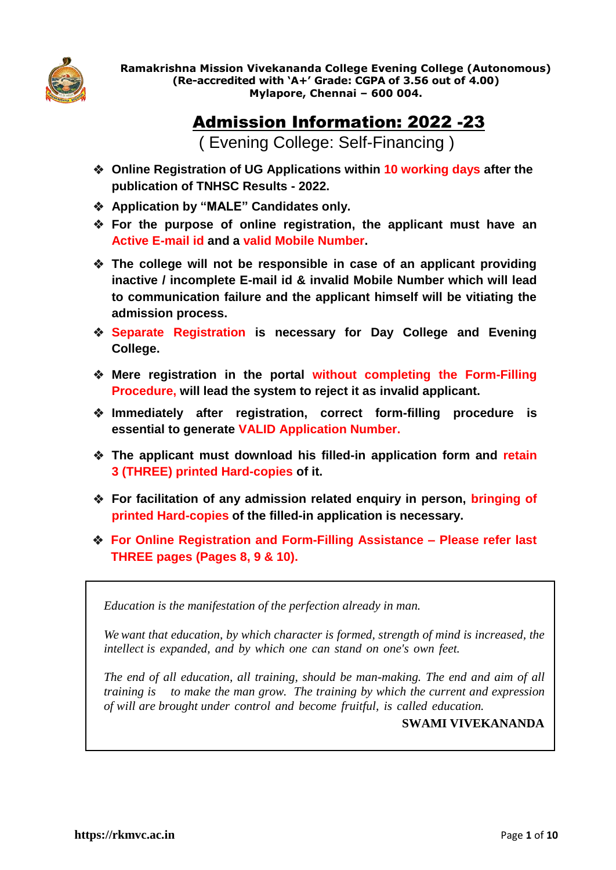

**Ramakrishna Mission Vivekananda College Evening College (Autonomous) (Re-accredited with 'A+' Grade: CGPA of 3.56 out of 4.00) Mylapore, Chennai – 600 004.** 

# Admission Information: 2022 -23

( Evening College: Self-Financing )

- **Online Registration of UG Applications within 10 working days after the publication of TNHSC Results - 2022.**
- **Application by "MALE" Candidates only.**
- **For the purpose of online registration, the applicant must have an Active E-mail id and a valid Mobile Number.**
- **The college will not be responsible in case of an applicant providing inactive / incomplete E-mail id & invalid Mobile Number which will lead to communication failure and the applicant himself will be vitiating the admission process.**
- **Separate Registration is necessary for Day College and Evening College.**
- **Mere registration in the portal without completing the Form-Filling Procedure, will lead the system to reject it as invalid applicant.**
- **Immediately after registration, correct form-filling procedure is essential to generate VALID Application Number.**
- **The applicant must download his filled-in application form and retain 3 (THREE) printed Hard-copies of it.**
- **For facilitation of any admission related enquiry in person, bringing of printed Hard-copies of the filled-in application is necessary.**
- **For Online Registration and Form-Filling Assistance – Please refer last THREE pages (Pages 8, 9 & 10).**

*Education is the manifestation of the perfection already in man.*

*We want that education, by which character is formed, strength of mind is increased, the intellect is expanded, and by which one can stand on one's own feet.*

*The end of all education, all training, should be man-making. The end and aim of all training is to make the man grow. The training by which the current and expression of will are brought under control and become fruitful, is called education.*

**SWAMI VIVEKANANDA**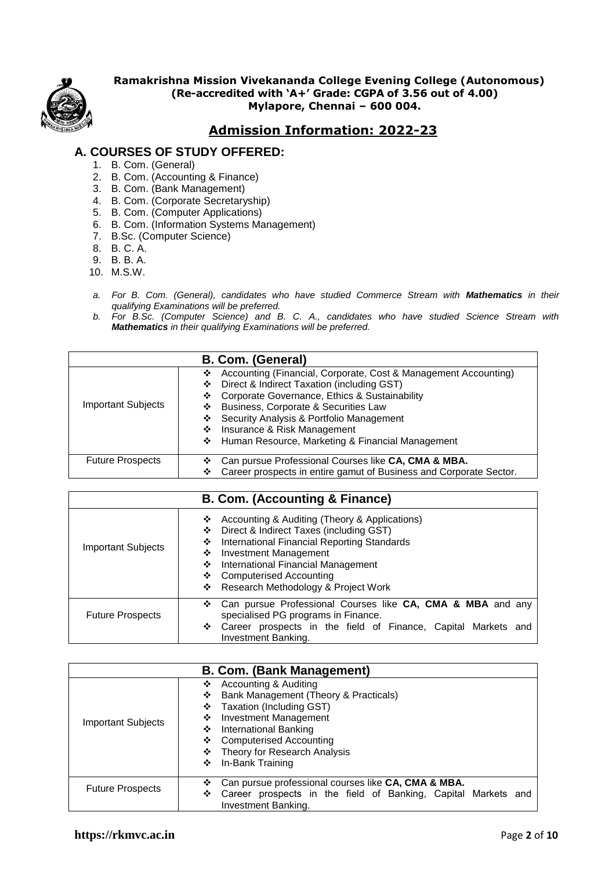

 **Ramakrishna Mission Vivekananda College Evening College (Autonomous) (Re-accredited with 'A+' Grade: CGPA of 3.56 out of 4.00) Mylapore, Chennai – 600 004.**

# **Admission Information: 2022-23**

# **A. COURSES OF STUDY OFFERED:**

- 1. B. Com. (General)
- 2. B. Com. (Accounting & Finance)
- 3. B. Com. (Bank Management)
- 4. B. Com. (Corporate Secretaryship)
- 5. B. Com. (Computer Applications)
- 6. B. Com. (Information Systems Management)
- 7. B.Sc. (Computer Science)
- 8. B. C. A.
- 9. B. B. A.
- 10. M.S.W.
- *a. For B. Com. (General), candidates who have studied Commerce Stream with Mathematics in their qualifying Examinations will be preferred.*
- *b. For B.Sc. (Computer Science) and B. C. A., candidates who have studied Science Stream with Mathematics in their qualifying Examinations will be preferred.*

| B. Com. (General)         |                                                                                                                                                                                                                                                                                                                                                                    |  |
|---------------------------|--------------------------------------------------------------------------------------------------------------------------------------------------------------------------------------------------------------------------------------------------------------------------------------------------------------------------------------------------------------------|--|
| <b>Important Subjects</b> | Accounting (Financial, Corporate, Cost & Management Accounting)<br>❖<br>Direct & Indirect Taxation (including GST)<br>❖<br>Corporate Governance, Ethics & Sustainability<br>❖<br>Business, Corporate & Securities Law<br>❖<br>Security Analysis & Portfolio Management<br>❖<br>❖ Insurance & Risk Management<br>❖ Human Resource, Marketing & Financial Management |  |
| <b>Future Prospects</b>   | Can pursue Professional Courses like CA, CMA & MBA.<br>❖<br>Career prospects in entire gamut of Business and Corporate Sector.<br>❖                                                                                                                                                                                                                                |  |

| <b>B. Com. (Accounting &amp; Finance)</b> |                                                                                                                                                                                                                                                                                                                    |  |
|-------------------------------------------|--------------------------------------------------------------------------------------------------------------------------------------------------------------------------------------------------------------------------------------------------------------------------------------------------------------------|--|
| <b>Important Subjects</b>                 | Accounting & Auditing (Theory & Applications)<br>❖<br>Direct & Indirect Taxes (including GST)<br>❖<br>International Financial Reporting Standards<br>❖<br>Investment Management<br>❖<br>International Financial Management<br>❖<br><b>Computerised Accounting</b><br>❖<br>Research Methodology & Project Work<br>❖ |  |
| <b>Future Prospects</b>                   | Can pursue Professional Courses like CA, CMA & MBA and any<br>❖<br>specialised PG programs in Finance.<br>Career prospects in the field of Finance, Capital Markets and<br>❖<br>Investment Banking.                                                                                                                |  |

| <b>B. Com. (Bank Management)</b> |                                                                                                                                                                                                                                                                              |  |
|----------------------------------|------------------------------------------------------------------------------------------------------------------------------------------------------------------------------------------------------------------------------------------------------------------------------|--|
| <b>Important Subjects</b>        | Accounting & Auditing<br>❖<br>Bank Management (Theory & Practicals)<br>❖<br>Taxation (Including GST)<br>❖<br><b>Investment Management</b><br>❖<br>International Banking<br>❖<br><b>Computerised Accounting</b><br>❖<br>Theory for Research Analysis<br>In-Bank Training<br>❖ |  |
| <b>Future Prospects</b>          | Can pursue professional courses like CA, CMA & MBA.<br>❖<br>Career prospects in the field of Banking, Capital Markets and<br>❖<br>Investment Banking.                                                                                                                        |  |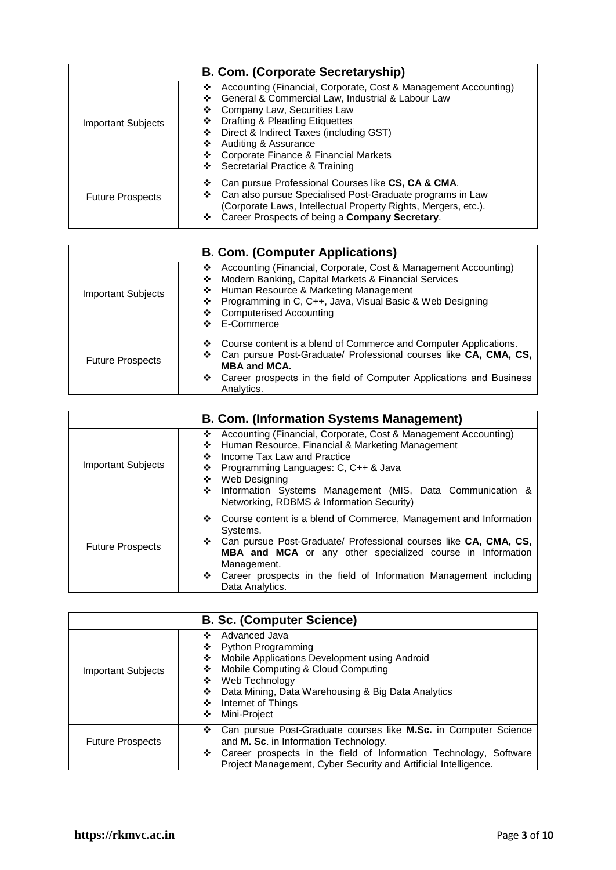| B. Com. (Corporate Secretaryship) |                                                                                                                                                                                                                                                                                                                                                                              |  |
|-----------------------------------|------------------------------------------------------------------------------------------------------------------------------------------------------------------------------------------------------------------------------------------------------------------------------------------------------------------------------------------------------------------------------|--|
| <b>Important Subjects</b>         | Accounting (Financial, Corporate, Cost & Management Accounting)<br>❖<br>General & Commercial Law, Industrial & Labour Law<br>❖<br>Company Law, Securities Law<br>❖<br>Drafting & Pleading Etiquettes<br>❖<br>Direct & Indirect Taxes (including GST)<br>❖<br>Auditing & Assurance<br>❖<br>Corporate Finance & Financial Markets<br>❖<br>Secretarial Practice & Training<br>❖ |  |
| <b>Future Prospects</b>           | Can pursue Professional Courses like CS, CA & CMA.<br>❖<br>Can also pursue Specialised Post-Graduate programs in Law<br>❖<br>(Corporate Laws, Intellectual Property Rights, Mergers, etc.).<br>Career Prospects of being a Company Secretary.<br>❖                                                                                                                           |  |

| <b>B. Com. (Computer Applications)</b> |                                                                                                                                                                                                                                                                                                             |  |
|----------------------------------------|-------------------------------------------------------------------------------------------------------------------------------------------------------------------------------------------------------------------------------------------------------------------------------------------------------------|--|
| <b>Important Subjects</b>              | Accounting (Financial, Corporate, Cost & Management Accounting)<br>❖<br>Modern Banking, Capital Markets & Financial Services<br>❖<br>Human Resource & Marketing Management<br>❖<br>Programming in C, C++, Java, Visual Basic & Web Designing<br>❖<br><b>Computerised Accounting</b><br>❖<br>E-Commerce<br>❖ |  |
| <b>Future Prospects</b>                | Course content is a blend of Commerce and Computer Applications.<br>❖<br>Can pursue Post-Graduate/ Professional courses like CA, CMA, CS,<br>❖<br><b>MBA and MCA.</b><br>Career prospects in the field of Computer Applications and Business<br>❖<br>Analytics.                                             |  |

| <b>B. Com. (Information Systems Management)</b> |                                                                                                                                                                                                                                                                                                                                                     |  |
|-------------------------------------------------|-----------------------------------------------------------------------------------------------------------------------------------------------------------------------------------------------------------------------------------------------------------------------------------------------------------------------------------------------------|--|
| <b>Important Subjects</b>                       | Accounting (Financial, Corporate, Cost & Management Accounting)<br>❖<br>Human Resource, Financial & Marketing Management<br>❖<br>Income Tax Law and Practice<br>❖<br>Programming Languages: C, C++ & Java<br>❖<br>Web Designing<br>❖<br>❖<br>Information Systems Management (MIS, Data Communication &<br>Networking, RDBMS & Information Security) |  |
| <b>Future Prospects</b>                         | Course content is a blend of Commerce, Management and Information<br>❖<br>Systems.<br>Can pursue Post-Graduate/ Professional courses like CA, CMA, CS,<br>❖<br>MBA and MCA or any other specialized course in Information<br>Management.<br>Career prospects in the field of Information Management including<br>❖<br>Data Analytics.               |  |

| <b>B. Sc. (Computer Science)</b> |                                                                                                                                                                                                                                                                                         |  |
|----------------------------------|-----------------------------------------------------------------------------------------------------------------------------------------------------------------------------------------------------------------------------------------------------------------------------------------|--|
| <b>Important Subjects</b>        | Advanced Java<br>❖<br><b>Python Programming</b><br>❖<br>Mobile Applications Development using Android<br>❖<br>Mobile Computing & Cloud Computing<br>❖<br>Web Technology<br>❖<br>Data Mining, Data Warehousing & Big Data Analytics<br>❖<br>Internet of Things<br>❖<br>Mini-Project<br>❖ |  |
| <b>Future Prospects</b>          | Can pursue Post-Graduate courses like M.Sc. in Computer Science<br>and M. Sc. in Information Technology.<br>Career prospects in the field of Information Technology, Software<br>Project Management, Cyber Security and Artificial Intelligence.                                        |  |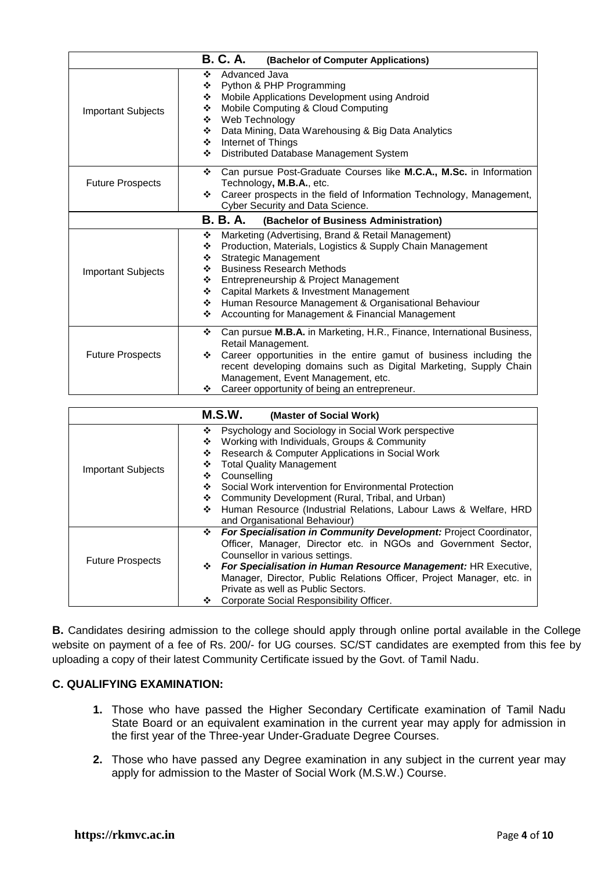| <b>B. C. A.</b><br>(Bachelor of Computer Applications) |                                                                                                                                                                                                                                                                                                                                                                                                                             |  |
|--------------------------------------------------------|-----------------------------------------------------------------------------------------------------------------------------------------------------------------------------------------------------------------------------------------------------------------------------------------------------------------------------------------------------------------------------------------------------------------------------|--|
| <b>Important Subjects</b>                              | Advanced Java<br>❖<br>Python & PHP Programming<br>❖<br>Mobile Applications Development using Android<br>❖<br>Mobile Computing & Cloud Computing<br>❖<br>Web Technology<br>❖<br>Data Mining, Data Warehousing & Big Data Analytics<br>❖<br>Internet of Things<br>❖<br>Distributed Database Management System<br>❖                                                                                                            |  |
| <b>Future Prospects</b>                                | Can pursue Post-Graduate Courses like M.C.A., M.Sc. in Information<br>❖<br>Technology, M.B.A., etc.<br>Career prospects in the field of Information Technology, Management,<br>❖<br>Cyber Security and Data Science.                                                                                                                                                                                                        |  |
|                                                        | B. B. A.<br>(Bachelor of Business Administration)                                                                                                                                                                                                                                                                                                                                                                           |  |
| <b>Important Subjects</b>                              | Marketing (Advertising, Brand & Retail Management)<br>❖<br>Production, Materials, Logistics & Supply Chain Management<br>❖<br><b>Strategic Management</b><br>❖<br><b>Business Research Methods</b><br>❖<br>Entrepreneurship & Project Management<br>❖<br>Capital Markets & Investment Management<br>❖<br>Human Resource Management & Organisational Behaviour<br>❖<br>Accounting for Management & Financial Management<br>❖ |  |
| <b>Future Prospects</b>                                | Can pursue M.B.A. in Marketing, H.R., Finance, International Business,<br>❖<br>Retail Management.<br>Career opportunities in the entire gamut of business including the<br>❖<br>recent developing domains such as Digital Marketing, Supply Chain<br>Management, Event Management, etc.<br>Career opportunity of being an entrepreneur.<br>❖                                                                                |  |

| M.S.W.<br>(Master of Social Work) |                                                                        |  |
|-----------------------------------|------------------------------------------------------------------------|--|
|                                   | Psychology and Sociology in Social Work perspective<br>❖               |  |
|                                   | Working with Individuals, Groups & Community<br>❖                      |  |
|                                   | Research & Computer Applications in Social Work<br>❖                   |  |
|                                   | <b>Total Quality Management</b><br>❖                                   |  |
| <b>Important Subjects</b>         | Counselling<br>❖                                                       |  |
|                                   | Social Work intervention for Environmental Protection<br>❖             |  |
|                                   | Community Development (Rural, Tribal, and Urban)<br>❖                  |  |
|                                   | Human Resource (Industrial Relations, Labour Laws & Welfare, HRD<br>❖  |  |
|                                   | and Organisational Behaviour)                                          |  |
|                                   | For Specialisation in Community Development: Project Coordinator,<br>❖ |  |
|                                   | Officer, Manager, Director etc. in NGOs and Government Sector,         |  |
| <b>Future Prospects</b>           | Counsellor in various settings.                                        |  |
|                                   | For Specialisation in Human Resource Management: HR Executive,<br>❖    |  |
|                                   | Manager, Director, Public Relations Officer, Project Manager, etc. in  |  |
|                                   | Private as well as Public Sectors.                                     |  |
|                                   | Corporate Social Responsibility Officer.<br>豪心                         |  |

**B.** Candidates desiring admission to the college should apply through online portal available in the College website on payment of a fee of Rs. 200/- for UG courses. SC/ST candidates are exempted from this fee by uploading a copy of their latest Community Certificate issued by the Govt. of Tamil Nadu.

## **C. QUALIFYING EXAMINATION:**

- **1.** Those who have passed the Higher Secondary Certificate examination of Tamil Nadu State Board or an equivalent examination in the current year may apply for admission in the first year of the Three-year Under-Graduate Degree Courses.
- **2.** Those who have passed any Degree examination in any subject in the current year may apply for admission to the Master of Social Work (M.S.W.) Course.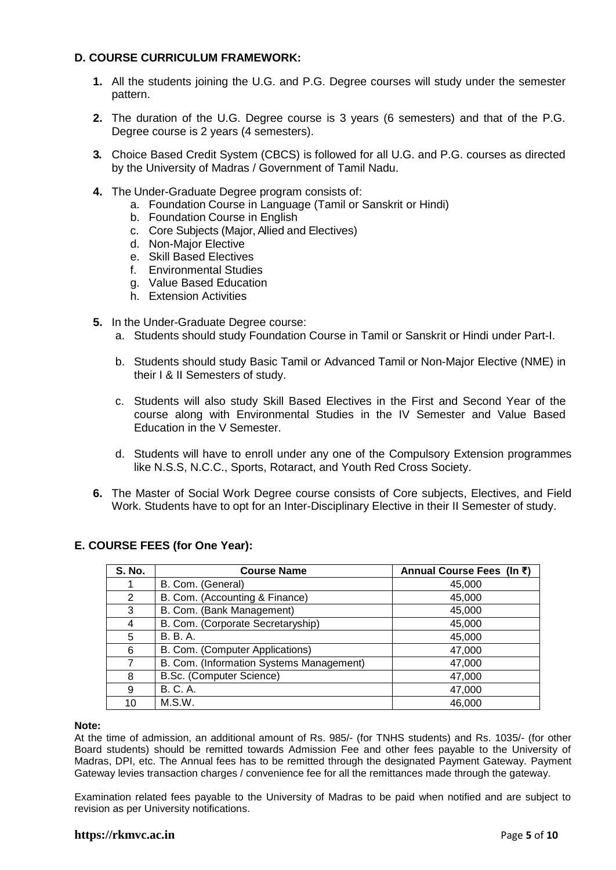## **D. COURSE CURRICULUM FRAMEWORK:**

- **1.** All the students joining the U.G. and P.G. Degree courses will study under the semester pattern.
- **2.** The duration of the U.G. Degree course is 3 years (6 semesters) and that of the P.G. Degree course is 2 years (4 semesters).
- **3.** Choice Based Credit System (CBCS) is followed for all U.G. and P.G. courses as directed by the University of Madras / Government of Tamil Nadu.
- **4.** The Under-Graduate Degree program consists of:
	- a. Foundation Course in Language (Tamil or Sanskrit or Hindi)
	- b. Foundation Course in English
	- c. Core Subjects (Major, Allied and Electives)
	- d. Non-Major Elective
	- e. Skill Based Electives
	- f. Environmental Studies
	- g. Value Based Education
	- h. Extension Activities
- **5.** In the Under-Graduate Degree course:
	- a. Students should study Foundation Course in Tamil or Sanskrit or Hindi under Part-I.
	- b. Students should study Basic Tamil or Advanced Tamil or Non-Major Elective (NME) in their I & II Semesters of study.
	- c. Students will also study Skill Based Electives in the First and Second Year of the course along with Environmental Studies in the IV Semester and Value Based Education in the V Semester.
	- d. Students will have to enroll under any one of the Compulsory Extension programmes like N.S.S, N.C.C., Sports, Rotaract, and Youth Red Cross Society.
- **6.** The Master of Social Work Degree course consists of Core subjects, Electives, and Field Work. Students have to opt for an Inter-Disciplinary Elective in their II Semester of study.

| <b>S. No.</b> | <b>Course Name</b>                       | Annual Course Fees (In ₹) |
|---------------|------------------------------------------|---------------------------|
|               | B. Com. (General)                        | 45,000                    |
| 2             | B. Com. (Accounting & Finance)           | 45,000                    |
| 3             | B. Com. (Bank Management)                | 45,000                    |
| 4             | B. Com. (Corporate Secretaryship)        | 45,000                    |
| 5             | <b>B.</b> B. A.                          | 45,000                    |
| 6             | B. Com. (Computer Applications)          | 47,000                    |
| 7             | B. Com. (Information Systems Management) | 47,000                    |
| 8             | B.Sc. (Computer Science)                 | 47,000                    |
| 9             | <b>B. C. A.</b>                          | 47,000                    |
| 10            | M.S.W.                                   | 46,000                    |

## **E. COURSE FEES (for One Year):**

#### **Note:**

At the time of admission, an additional amount of Rs. 985/- (for TNHS students) and Rs. 1035/- (for other Board students) should be remitted towards Admission Fee and other fees payable to the University of Madras, DPI, etc. The Annual fees has to be remitted through the designated Payment Gateway. Payment Gateway levies transaction charges / convenience fee for all the remittances made through the gateway.

Examination related fees payable to the University of Madras to be paid when notified and are subject to revision as per University notifications.

### **https://rkmvc.ac.in** Page **5** of **10**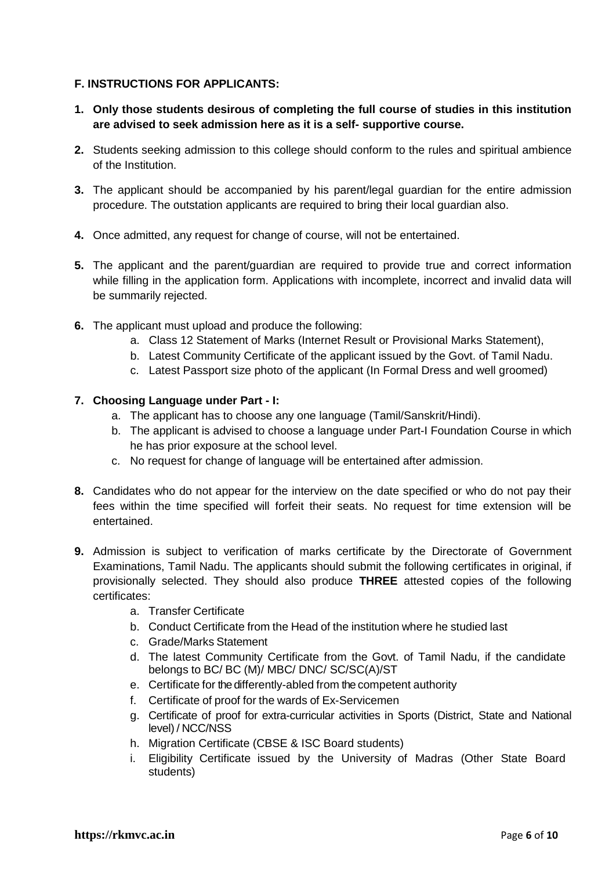# **F. INSTRUCTIONS FOR APPLICANTS:**

- **1. Only those students desirous of completing the full course of studies in this institution are advised to seek admission here as it is a self- supportive course.**
- **2.** Students seeking admission to this college should conform to the rules and spiritual ambience of the Institution.
- **3.** The applicant should be accompanied by his parent/legal guardian for the entire admission procedure. The outstation applicants are required to bring their local guardian also.
- **4.** Once admitted, any request for change of course, will not be entertained.
- **5.** The applicant and the parent/guardian are required to provide true and correct information while filling in the application form. Applications with incomplete, incorrect and invalid data will be summarily rejected.
- **6.** The applicant must upload and produce the following:
	- a. Class 12 Statement of Marks (Internet Result or Provisional Marks Statement),
	- b. Latest Community Certificate of the applicant issued by the Govt. of Tamil Nadu.
	- c. Latest Passport size photo of the applicant (In Formal Dress and well groomed)

## **7. Choosing Language under Part - I:**

- a. The applicant has to choose any one language (Tamil/Sanskrit/Hindi).
- b. The applicant is advised to choose a language under Part-I Foundation Course in which he has prior exposure at the school level.
- c. No request for change of language will be entertained after admission.
- **8.** Candidates who do not appear for the interview on the date specified or who do not pay their fees within the time specified will forfeit their seats. No request for time extension will be entertained.
- **9.** Admission is subject to verification of marks certificate by the Directorate of Government Examinations, Tamil Nadu. The applicants should submit the following certificates in original, if provisionally selected. They should also produce **THREE** attested copies of the following certificates:
	- a. Transfer Certificate
	- b. Conduct Certificate from the Head of the institution where he studied last
	- c. Grade/Marks Statement
	- d. The latest Community Certificate from the Govt. of Tamil Nadu, if the candidate belongs to BC/ BC (M)/ MBC/ DNC/ SC/SC(A)/ST
	- e. Certificate for the differently-abled from the competent authority
	- f. Certificate of proof for the wards of Ex-Servicemen
	- g. Certificate of proof for extra-curricular activities in Sports (District, State and National level) / NCC/NSS
	- h. Migration Certificate (CBSE & ISC Board students)
	- i. Eligibility Certificate issued by the University of Madras (Other State Board students)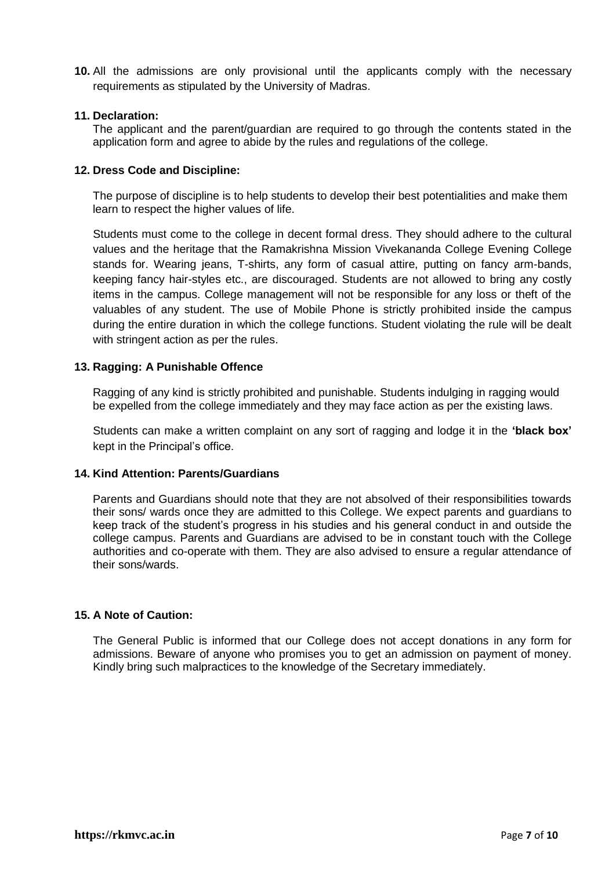**10.** All the admissions are only provisional until the applicants comply with the necessary requirements as stipulated by the University of Madras.

### **11. Declaration:**

The applicant and the parent/guardian are required to go through the contents stated in the application form and agree to abide by the rules and regulations of the college.

### **12. Dress Code and Discipline:**

The purpose of discipline is to help students to develop their best potentialities and make them learn to respect the higher values of life.

Students must come to the college in decent formal dress. They should adhere to the cultural values and the heritage that the Ramakrishna Mission Vivekananda College Evening College stands for. Wearing jeans, T-shirts, any form of casual attire, putting on fancy arm-bands, keeping fancy hair-styles etc., are discouraged. Students are not allowed to bring any costly items in the campus. College management will not be responsible for any loss or theft of the valuables of any student. The use of Mobile Phone is strictly prohibited inside the campus during the entire duration in which the college functions. Student violating the rule will be dealt with stringent action as per the rules.

## **13. Ragging: A Punishable Offence**

Ragging of any kind is strictly prohibited and punishable. Students indulging in ragging would be expelled from the college immediately and they may face action as per the existing laws.

Students can make a written complaint on any sort of ragging and lodge it in the **'black box'** kept in the Principal's office.

### **14. Kind Attention: Parents/Guardians**

Parents and Guardians should note that they are not absolved of their responsibilities towards their sons/ wards once they are admitted to this College. We expect parents and guardians to keep track of the student's progress in his studies and his general conduct in and outside the college campus. Parents and Guardians are advised to be in constant touch with the College authorities and co-operate with them. They are also advised to ensure a regular attendance of their sons/wards.

### **15. A Note of Caution:**

The General Public is informed that our College does not accept donations in any form for admissions. Beware of anyone who promises you to get an admission on payment of money. Kindly bring such malpractices to the knowledge of the Secretary immediately.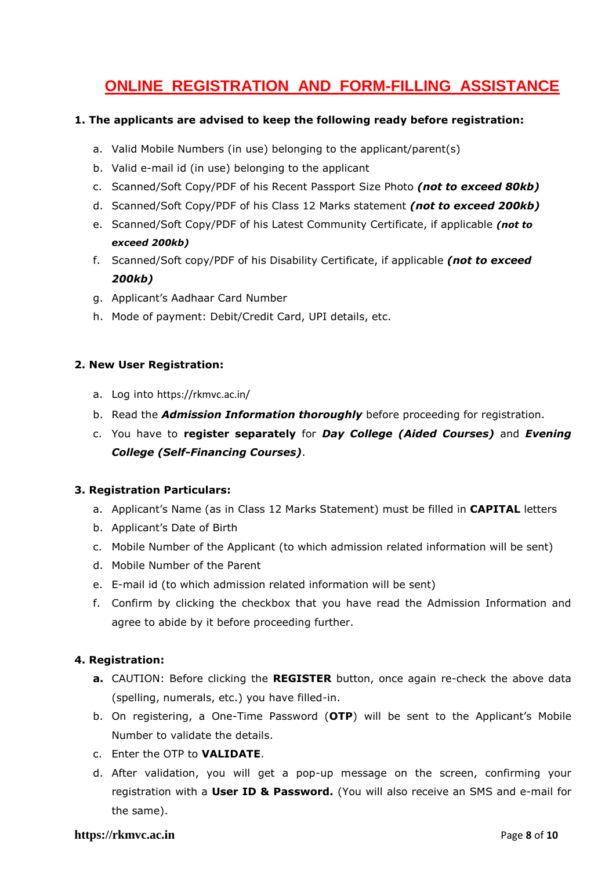# **ONLINE REGISTRATION AND FORM-FILLING ASSISTANCE**

## **1. The applicants are advised to keep the following ready before registration:**

- a. Valid Mobile Numbers (in use) belonging to the applicant/parent(s)
- b. Valid e-mail id (in use) belonging to the applicant
- c. Scanned/Soft Copy/PDF of his Recent Passport Size Photo *(not to exceed 80kb)*
- d. Scanned/Soft Copy/PDF of his Class 12 Marks statement *(not to exceed 200kb)*
- e. Scanned/Soft Copy/PDF of his Latest Community Certificate, if applicable *(not to exceed 200kb)*
- f. Scanned/Soft copy/PDF of his Disability Certificate, if applicable *(not to exceed 200kb)*
- g. Applicant's Aadhaar Card Number
- h. Mode of payment: Debit/Credit Card, UPI details, etc.

## **2. New User Registration:**

- a. Log into <https://rkmvc.ac.in/>
- b. Read the *Admission Information thoroughly* before proceeding for registration.
- c. You have to **register separately** for *Day College (Aided Courses)* and *Evening College (Self-Financing Courses)*.

## **3. Registration Particulars:**

- a. Applicant's Name (as in Class 12 Marks Statement) must be filled in **CAPITAL** letters
- b. Applicant's Date of Birth
- c. Mobile Number of the Applicant (to which admission related information will be sent)
- d. Mobile Number of the Parent
- e. E-mail id (to which admission related information will be sent)
- f. Confirm by clicking the checkbox that you have read the Admission Information and agree to abide by it before proceeding further.

## **4. Registration:**

- **a.** CAUTION: Before clicking the **REGISTER** button, once again re-check the above data (spelling, numerals, etc.) you have filled-in.
- b. On registering, a One-Time Password (**OTP**) will be sent to the Applicant's Mobile Number to validate the details.
- c. Enter the OTP to **VALIDATE**.
- d. After validation, you will get a pop-up message on the screen, confirming your registration with a **User ID & Password.** (You will also receive an SMS and e-mail for the same).

### **https://rkmvc.ac.in** Page **8** of **10**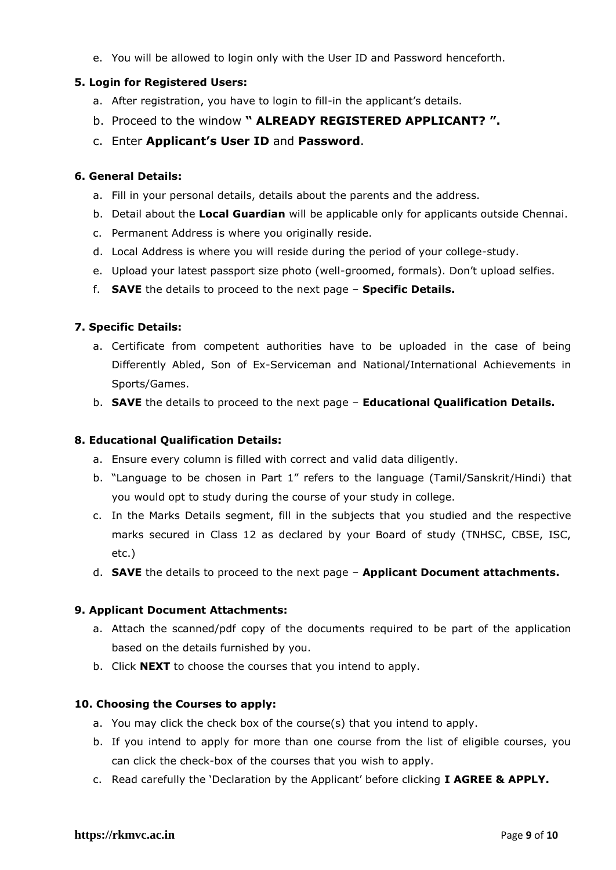e. You will be allowed to login only with the User ID and Password henceforth.

# **5. Login for Registered Users:**

- a. After registration, you have to login to fill-in the applicant's details.
- b. Proceed to the window **" ALREADY REGISTERED APPLICANT? ".**
- c. Enter **Applicant's User ID** and **Password**.

### **6. General Details:**

- a. Fill in your personal details, details about the parents and the address.
- b. Detail about the **Local Guardian** will be applicable only for applicants outside Chennai.
- c. Permanent Address is where you originally reside.
- d. Local Address is where you will reside during the period of your college-study.
- e. Upload your latest passport size photo (well-groomed, formals). Don't upload selfies.
- f. **SAVE** the details to proceed to the next page **Specific Details.**

## **7. Specific Details:**

- a. Certificate from competent authorities have to be uploaded in the case of being Differently Abled, Son of Ex-Serviceman and National/International Achievements in Sports/Games.
- b. **SAVE** the details to proceed to the next page **Educational Qualification Details.**

### **8. Educational Qualification Details:**

- a. Ensure every column is filled with correct and valid data diligently.
- b. "Language to be chosen in Part 1" refers to the language (Tamil/Sanskrit/Hindi) that you would opt to study during the course of your study in college.
- c. In the Marks Details segment, fill in the subjects that you studied and the respective marks secured in Class 12 as declared by your Board of study (TNHSC, CBSE, ISC, etc.)
- d. **SAVE** the details to proceed to the next page **Applicant Document attachments.**

### **9. Applicant Document Attachments:**

- a. Attach the scanned/pdf copy of the documents required to be part of the application based on the details furnished by you.
- b. Click **NEXT** to choose the courses that you intend to apply.

### **10. Choosing the Courses to apply:**

- a. You may click the check box of the course(s) that you intend to apply.
- b. If you intend to apply for more than one course from the list of eligible courses, you can click the check-box of the courses that you wish to apply.
- c. Read carefully the 'Declaration by the Applicant' before clicking **I AGREE & APPLY.**